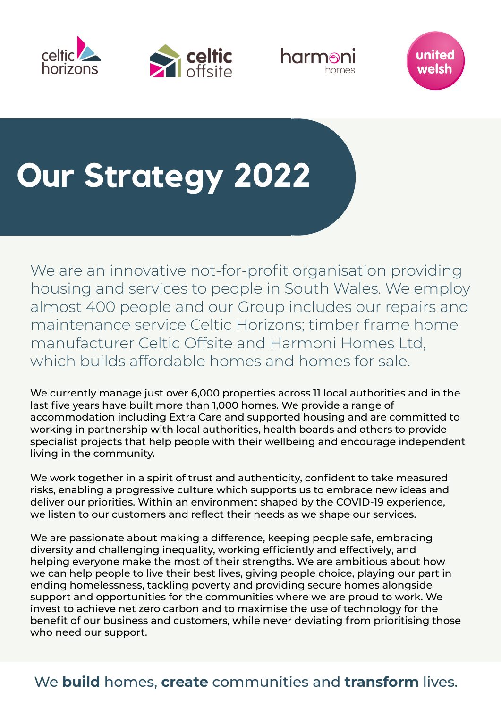







## **Our Strategy 2022**

We are an innovative not-for-profit organisation providing housing and services to people in South Wales. We employ almost 400 people and our Group includes our repairs and maintenance service Celtic Horizons; timber frame home manufacturer Celtic Offsite and Harmoni Homes Ltd, which builds affordable homes and homes for sale.

We currently manage just over 6,000 properties across 11 local authorities and in the last five years have built more than 1,000 homes. We provide a range of accommodation including Extra Care and supported housing and are committed to working in partnership with local authorities, health boards and others to provide specialist projects that help people with their wellbeing and encourage independent living in the community.

We work together in a spirit of trust and authenticity, confident to take measured risks, enabling a progressive culture which supports us to embrace new ideas and deliver our priorities. Within an environment shaped by the COVID-19 experience, we listen to our customers and reflect their needs as we shape our services.

We are passionate about making a difference, keeping people safe, embracing diversity and challenging inequality, working efficiently and effectively, and helping everyone make the most of their strengths. We are ambitious about how we can help people to live their best lives, giving people choice, playing our part in ending homelessness, tackling poverty and providing secure homes alongside support and opportunities for the communities where we are proud to work. We invest to achieve net zero carbon and to maximise the use of technology for the benefit of our business and customers, while never deviating from prioritising those who need our support.

We **build** homes, **create** communities and **transform** lives.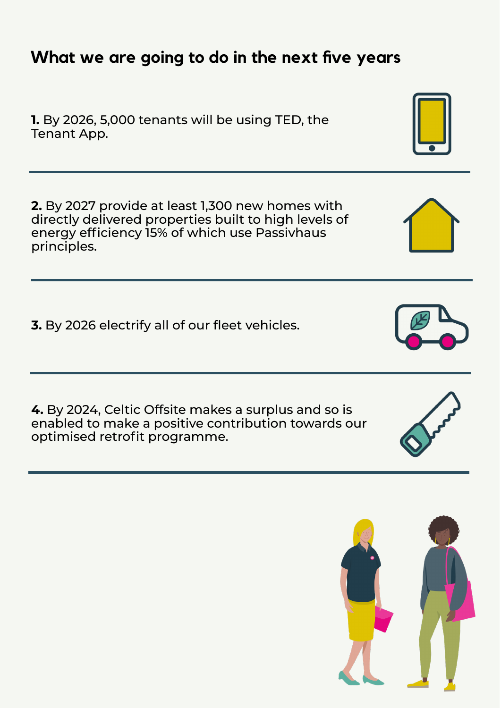## **What we are going to do in the next five years**

**1.** By 2026, 5,000 tenants will be using TED, the Tenant App.

**2.** By 2027 provide at least 1,300 new homes with directly delivered properties built to high levels of energy efficiency 15% of which use Passivhaus principles.

**3.** By 2026 electrify all of our fleet vehicles.

**4.** By 2024, Celtic Offsite makes a surplus and so is enabled to make a positive contribution towards our optimised retrofit programme.